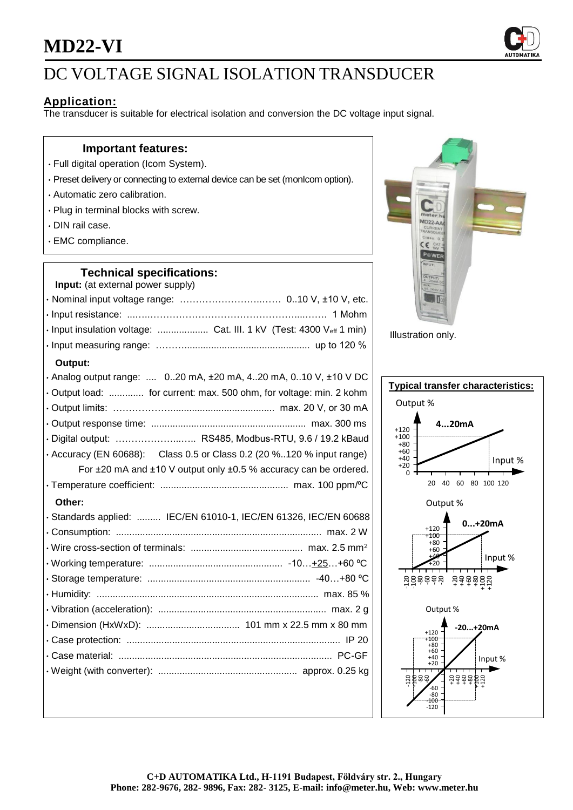## **MD22-VI**



## DC VOLTAGE SIGNAL ISOLATION TRANSDUCER

### **Application:**

The transducer is suitable for electrical isolation and conversion the DC voltage input signal.

### **Important features:**

- Full digital operation (Icom System).
- Preset delivery or connecting to external device can be set (monIcom option).
- Automatic zero calibration.
- Plug in terminal blocks with screw.
- DIN rail case.
- EMC compliance.

### **Technical specifications:**

| Input: (at external power supply) |  |
|-----------------------------------|--|
|                                   |  |
|                                   |  |
|                                   |  |
|                                   |  |

### **Output:**

| vuupuu.                                                               |
|-----------------------------------------------------------------------|
| . Analog output range:  020 mA, ±20 mA, 420 mA, 010 V, ±10 V DC       |
| · Output load:  for current: max. 500 ohm, for voltage: min. 2 kohm   |
|                                                                       |
|                                                                       |
| · Digital output:  RS485, Modbus-RTU, 9.6 / 19.2 kBaud                |
| · Accuracy (EN 60688): Class 0.5 or Class 0.2 (20 %120 % input range) |
| For ±20 mA and ±10 V output only ±0.5 % accuracy can be ordered.      |
|                                                                       |
| Other:                                                                |
| · Standards applied:  IEC/EN 61010-1, IEC/EN 61326, IEC/EN 60688      |
|                                                                       |
|                                                                       |
|                                                                       |
|                                                                       |
|                                                                       |
|                                                                       |
|                                                                       |
|                                                                       |
|                                                                       |
|                                                                       |
|                                                                       |



Illustration only.